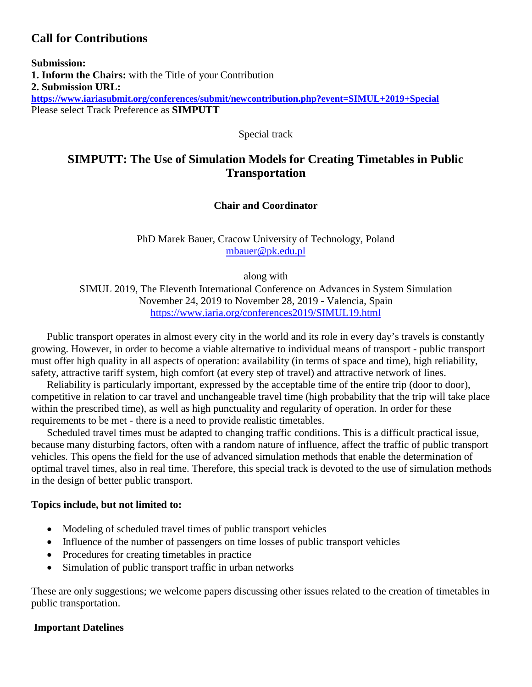# **Call for Contributions**

**Submission: 1. Inform the Chairs:** with the Title of your Contribution **2. Submission URL: <https://www.iariasubmit.org/conferences/submit/newcontribution.php?event=SIMUL+2019+Special>** Please select Track Preference as **SIMPUTT**

Special track

# **SIMPUTT: The Use of Simulation Models for Creating Timetables in Public Transportation**

# **Chair and Coordinator**

PhD Marek Bauer, Cracow University of Technology, Poland [mbauer@pk.edu.pl](mailto:mbauer@pk.edu.pl)

along with SIMUL 2019, The Eleventh International Conference on Advances in System Simulation November 24, 2019 to November 28, 2019 - Valencia, Spain <https://www.iaria.org/conferences2019/SIMUL19.html>

Public transport operates in almost every city in the world and its role in every day's travels is constantly growing. However, in order to become a viable alternative to individual means of transport - public transport must offer high quality in all aspects of operation: availability (in terms of space and time), high reliability, safety, attractive tariff system, high comfort (at every step of travel) and attractive network of lines.

Reliability is particularly important, expressed by the acceptable time of the entire trip (door to door), competitive in relation to car travel and unchangeable travel time (high probability that the trip will take place within the prescribed time), as well as high punctuality and regularity of operation. In order for these requirements to be met - there is a need to provide realistic timetables.

Scheduled travel times must be adapted to changing traffic conditions. This is a difficult practical issue, because many disturbing factors, often with a random nature of influence, affect the traffic of public transport vehicles. This opens the field for the use of advanced simulation methods that enable the determination of optimal travel times, also in real time. Therefore, this special track is devoted to the use of simulation methods in the design of better public transport.

## **Topics include, but not limited to:**

- Modeling of scheduled travel times of public transport vehicles
- Influence of the number of passengers on time losses of public transport vehicles
- Procedures for creating timetables in practice
- Simulation of public transport traffic in urban networks

These are only suggestions; we welcome papers discussing other issues related to the creation of timetables in public transportation.

## **Important Datelines**